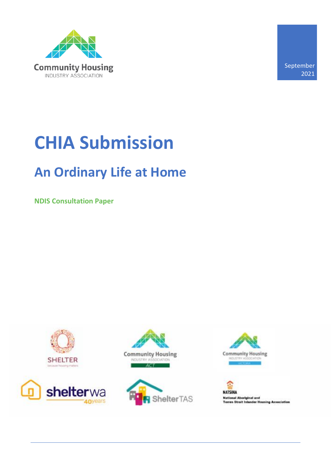

September 2021

# **CHIA Submission**

### **An Ordinary Life at Home**

**NDIS Consultation Paper**











**NATSIHA National Aboriginal and<br>Torres Strait Islander Housing Association**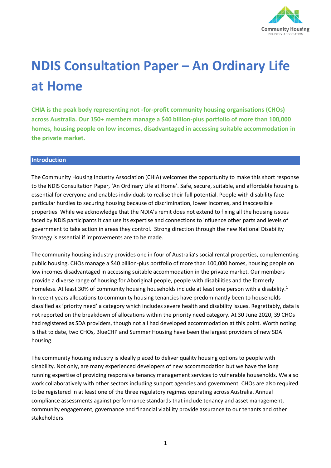

## **NDIS Consultation Paper – An Ordinary Life at Home**

**CHIA is the peak body representing not -for-profit community housing organisations (CHOs) across Australia. Our 150+ members manage a \$40 billion-plus portfolio of more than 100,000 homes, housing people on low incomes, disadvantaged in accessing suitable accommodation in the private market.** 

#### **Introduction**

The Community Housing Industry Association (CHIA) welcomes the opportunity to make this short response to the NDIS Consultation Paper, 'An Ordinary Life at Home'. Safe, secure, suitable, and affordable housing is essential for everyone and enables individuals to realise their full potential. People with disability face particular hurdles to securing housing because of discrimination, lower incomes, and inaccessible properties. While we acknowledge that the NDIA's remit does not extend to fixing all the housing issues faced by NDIS participants it can use its expertise and connections to influence other parts and levels of government to take action in areas they control. Strong direction through the new National Disability Strategy is essential if improvements are to be made.

The community housing industry provides one in four of Australia's social rental properties, complementing public housing. CHOs manage a \$40 billion-plus portfolio of more than 100,000 homes, housing people on low incomes disadvantaged in accessing suitable accommodation in the private market. Our members provide a diverse range of housing for Aboriginal people, people with disabilities and the formerly homeless. At least 30% of community housing households include at least one person with a disability.<sup>1</sup> In recent years allocations to community housing tenancies have predominantly been to households classified as 'priority need' a category which includes severe health and disability issues. Regrettably, data is not reported on the breakdown of allocations within the priority need category. At 30 June 2020, 39 CHOs had registered as SDA providers, though not all had developed accommodation at this point. Worth noting is that to date, two CHOs, BlueCHP and Summer Housing have been the largest providers of new SDA housing.

The community housing industry is ideally placed to deliver quality housing options to people with disability. Not only, are many experienced developers of new accommodation but we have the long running expertise of providing responsive tenancy management services to vulnerable households. We also work collaboratively with other sectors including support agencies and government. CHOs are also required to be registered in at least one of the three regulatory regimes operating across Australia. Annual compliance assessments against performance standards that include tenancy and asset management, community engagement, governance and financial viability provide assurance to our tenants and other stakeholders.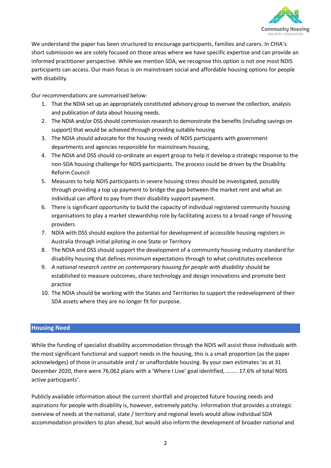

We understand the paper has been structured to encourage participants, families and carers. In CHIA's short submission we are solely focused on those areas where we have specific expertise and can provide an informed practitioner perspective. While we mention SDA, we recognise this option is not one most NDIS participants can access. Our main focus is on mainstream social and affordable housing options for people with disability.

Our recommendations are summarised below:

- 1. That the NDIA set up an appropriately constituted advisory group to oversee the collection, analysis and publication of data about housing needs.
- 2. The NDIA and/or DSS should commission research to demonstrate the benefits (including savings on support) that would be achieved through providing suitable housing
- 3. The NDIA should advocate for the housing needs of NDIS participants with government departments and agencies responsible for mainstream housing,
- 4. The NDIA and DSS should co-ordinate an expert group to help it develop a strategic response to the non-SDA housing challenge for NDIS participants. The process could be driven by the Disability Reform Council
- 5. Measures to help NDIS participants in severe housing stress should be investigated, possibly through providing a top up payment to bridge the gap between the market rent and what an individual can afford to pay from their disability support payment.
- 6. There is significant opportunity to build the capacity of individual registered community housing organisations to play a market stewardship role by facilitating access to a broad range of housing providers
- 7. NDIA with DSS should explore the potential for development of accessible housing registers in Australia through initial piloting in one State or Territory
- 8. The NDIA and DSS should support the development of a community housing industry standard for disability housing that defines minimum expectations through to what constitutes excellence
- 9. *A national research centre on contemporary housing for people with disability* should be established to measure outcomes, share technology and design innovations and promote best practice
- 10. The NDIA should be working with the States and Territories to support the redevelopment of their SDA assets where they are no longer fit for purpose.

#### **Housing Need**

While the funding of specialist disability accommodation through the NDIS will assist those individuals with the most significant functional and support needs in the housing, this is a small proportion (as the paper acknowledges) of those in unsuitable and / or unaffordable housing. By your own estimates 'as at 31 December 2020, there were 76,062 plans with a 'Where I Live' goal identified, …….. 17.6% of total NDIS active participants'.

Publicly available information about the current shortfall and projected future housing needs and aspirations for people with disability is, however, extremely patchy. Information that provides a strategic overview of needs at the national, state / territory and regional levels would allow individual SDA accommodation providers to plan ahead, but would also inform the development of broader national and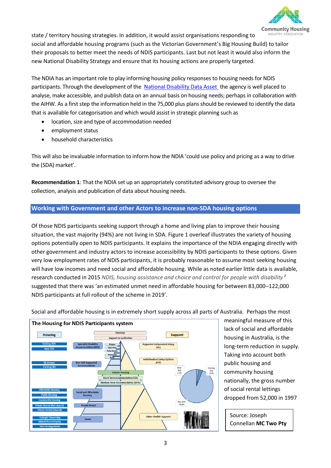

state / territory housing strategies. In addition, it would assist organisations responding to NDUSTRY A social and affordable housing programs (such as the Victorian Government's Big Housing Build) to tailor their proposals to better meet the needs of NDIS participants. Last but not least it would also inform the new National Disability Strategy and ensure that its housing actions are properly targeted.

The NDIA has an important role to play informing housing policy responses to housing needs for NDIS participants. Through the development of the [National Disability Data Asset](https://ndda.gov.au/) the agency is well placed to analyse, make accessible, and publish data on an annual basis on housing needs; perhaps in collaboration with the AIHW. As a first step the information held in the 75,000 plus plans should be reviewed to identify the data that is available for categorisation and which would assist in strategic planning such as

- location, size and type of accommodation needed
- employment status
- household characteristics

This will also be invaluable information to inform how the NDIA 'could use policy and pricing as a way to drive the (SDA) market'.

**Recommendation 1**: That the NDIA set up an appropriately constituted advisory group to oversee the collection, analysis and publication of data about housing needs.

#### **Working with Government and other Actors to increase non-SDA housing options**

Of those NDIS participants seeking support through a home and living plan to improve their housing situation, the vast majority (94%) are not living in SDA. Figure 1 overleaf illustrates the variety of housing options potentially open to NDIS participants. It explains the importance of the NDIA engaging directly with other government and industry actors to increase accessibility by NDIS participants to these options. Given very low employment rates of NDIS participants, it is probably reasonable to assume most seeking housing will have low incomes and need social and affordable housing. While as noted earlier little data is available, research conducted in 2015 *NDIS, housing assistance and choice and control for people with disability* <sup>2</sup> suggested that there was 'an estimated unmet need in affordable housing for between 83,000–122,000 NDIS participants at full rollout of the scheme in 2019'.



Social and affordable housing is in extremely short supply across all parts of Australia. Perhaps the most

meaningful measure of this lack of social and affordable housing in Australia, is the long-term reduction in supply. Taking into account both public housing and community housing nationally, the gross number of social rental lettings dropped from 52,000 in 1997

Source: Joseph Connellan **MC Two Pty** 

**Ltd**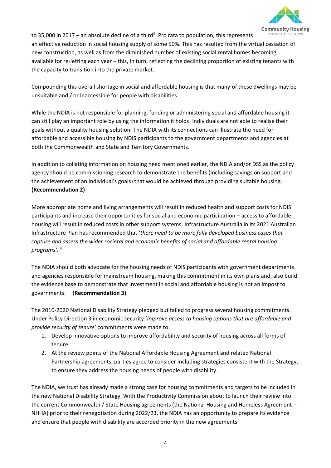

to 35,000 in 2017 – an absolute decline of a third<sup>3</sup>. Pro rata to population, this represents an effective reduction in social housing supply of some 50%. This has resulted from the virtual cessation of new construction, as well as from the diminished number of existing social rental homes becoming available for re-letting each year – this, in turn, reflecting the declining proportion of existing tenants with the capacity to transition into the private market.

Compounding this overall shortage in social and affordable housing is that many of these dwellings may be unsuitable and / or inaccessible for people with disabilities.

While the NDIA is not responsible for planning, funding or administering social and affordable housing it can still play an important role by using the information it holds. Individuals are not able to realise their goals without a quality housing solution. The NDIA with its connections can illustrate the need for affordable and accessible housing by NDIS participants to the government departments and agencies at both the Commonwealth and State and Territory Governments.

In addition to collating information on housing need mentioned earlier, the NDIA and/or DSS as the policy agency should be commissioning research to demonstrate the benefits (including savings on support and the achievement of an individual's goals) that would be achieved through providing suitable housing. **(Recommendation 2)**

More appropriate home and living arrangements will result in reduced health and support costs for NDIS participants and increase their opportunities for social and economic participation – access to affordable housing will result in reduced costs in other support systems. Infrastructure Australia in its 2021 Australian Infrastructure Plan has recommended that '*there need to be more fully developed business cases that capture and assess the wider societal and economic benefits of social and affordable rental housing programs'*. 4

The NDIA should both advocate for the housing needs of NDIS participants with government departments and agencies responsible for mainstream housing, making this commitment in its own plans and, also build the evidence base to demonstrate that investment in social and affordable housing is not an impost to governments. (**Recommendation 3)**.

The 2010-2020 National Disability Strategy pledged but failed to progress several housing commitments. Under Policy Direction 3 in economic security '*Improve access to housing options that are affordable and provide security of tenure*' commitments were made to:

- 1. Develop innovative options to improve affordability and security of housing across all forms of tenure.
- 2. At the review points of the National Affordable Housing Agreement and related National Partnership agreements, parties agree to consider including strategies consistent with the Strategy, to ensure they address the housing needs of people with disability.

The NDIA, we trust has already made a strong case for housing commitments and targets to be included in the new National Disability Strategy. With the Productivity Commission about to launch their review into the current Commonwealth / State Housing agreements (the National Housing and Homeless Agreement – NHHA) prior to their renegotiation during 2022/23, the NDIA has an opportunity to prepare its evidence and ensure that people with disability are accorded priority in the new agreements.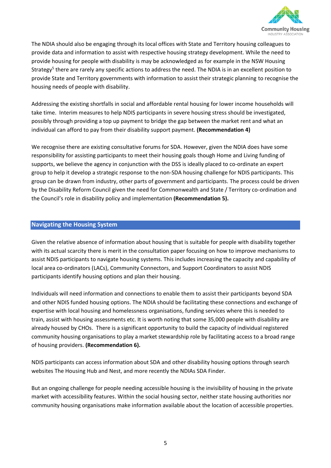

The NDIA should also be engaging through its local offices with State and Territory housing colleagues to provide data and information to assist with respective housing strategy development. While the need to provide housing for people with disability is may be acknowledged as for example in the NSW Housing Strategy<sup>5</sup> there are rarely any specific actions to address the need. The NDIA is in an excellent position to provide State and Territory governments with information to assist their strategic planning to recognise the housing needs of people with disability.

Addressing the existing shortfalls in social and affordable rental housing for lower income households will take time. Interim measures to help NDIS participants in severe housing stress should be investigated, possibly through providing a top up payment to bridge the gap between the market rent and what an individual can afford to pay from their disability support payment. **(Recommendation 4)**

We recognise there are existing consultative forums for SDA. However, given the NDIA does have some responsibility for assisting participants to meet their housing goals though Home and Living funding of supports, we believe the agency in conjunction with the DSS is ideally placed to co-ordinate an expert group to help it develop a strategic response to the non-SDA housing challenge for NDIS participants. This group can be drawn from industry, other parts of government and participants. The process could be driven by the Disability Reform Council given the need for Commonwealth and State / Territory co-ordination and the Council's role in disability policy and implementation **(Recommendation 5).**

#### **Navigating the Housing System**

Given the relative absence of information about housing that is suitable for people with disability together with its actual scarcity there is merit in the consultation paper focusing on how to improve mechanisms to assist NDIS participants to navigate housing systems. This includes increasing the capacity and capability of local area co-ordinators (LACs), Community Connectors, and Support Coordinators to assist NDIS participants identify housing options and plan their housing.

Individuals will need information and connections to enable them to assist their participants beyond SDA and other NDIS funded housing options. The NDIA should be facilitating these connections and exchange of expertise with local housing and homelessness organisations, funding services where this is needed to train, assist with housing assessments etc. It is worth noting that some 35,000 people with disability are already housed by CHOs. There is a significant opportunity to build the capacity of individual registered community housing organisations to play a market stewardship role by facilitating access to a broad range of housing providers. **(Recommendation 6).** 

NDIS participants can access information about SDA and other disability housing options through search websites The Housing Hub and Nest, and more recently the NDIAs SDA Finder.

But an ongoing challenge for people needing accessible housing is the invisibility of housing in the private market with accessibility features. Within the social housing sector, neither state housing authorities nor community housing organisations make information available about the location of accessible properties.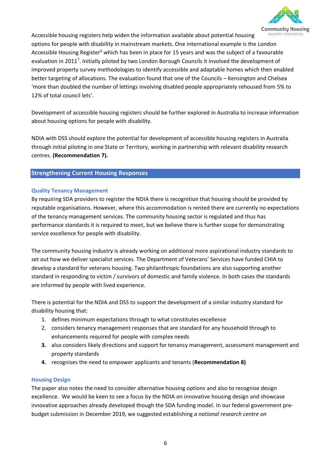

Accessible housing registers help widen the information available about potential housing options for people with disability in mainstream markets. One international example is the London Accessible Housing Register<sup>6</sup> which has been in place for 15 years and was the subject of a favourable evaluation in 2011<sup>7</sup>. Initially piloted by two London Borough Councils it involved the development of improved property survey methodologies to identify accessible and adaptable homes which then enabled better targeting of allocations. The evaluation found that one of the Councils – Kensington and Chelsea 'more than doubled the number of lettings involving disabled people appropriately rehoused from 5% to 12% of total council lets'.

Development of accessible housing registers should be further explored in Australia to increase information about housing options for people with disability.

NDIA with DSS should explore the potential for development of accessible housing registers in Australia through initial piloting in one State or Territory, working in partnership with relevant disability research centres. **(Recommendation 7).**

#### **Strengthening Current Housing Responses**

#### **Quality Tenancy Management**

By requiring SDA providers to register the NDIA there is recognition that housing should be provided by reputable organisations. However, where this accommodation is rented there are currently no expectations of the tenancy management services. The community housing sector is regulated and thus has performance standards it is required to meet, but we believe there is further scope for demonstrating service excellence for people with disability.

The community housing industry is already working on additional more aspirational industry standards to set out how we deliver specialist services. The Department of Veterans' Services have funded CHIA to develop a standard for veterans housing. Two philanthropic foundations are also supporting another standard in responding to victim / survivors of domestic and family violence. In both cases the standards are informed by people with lived experience.

There is potential for the NDIA and DSS to support the development of a similar industry standard for disability housing that:

- 1. defines minimum expectations through to what constitutes excellence
- 2. considers tenancy management responses that are standard for any household through to enhancements required for people with complex needs
- **3.** also considers likely directions and support for tenancy management, assessment management and property standards
- **4.** recognises the need to empower applicants and tenants (**Recommendation 8)**

#### **Housing Design**

The paper also notes the need to consider alternative housing options and also to recognise design excellence. We would be keen to see a focus by the NDIA on innovative housing design and showcase innovative approaches already developed though the SDA funding model. In our federal government prebudget submission in December 2019, we suggested establishing *a national research centre on*